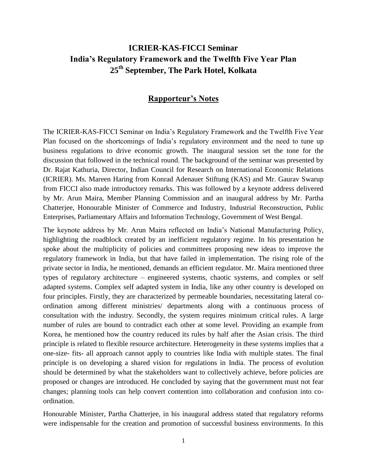## **ICRIER-KAS-FICCI Seminar India's Regulatory Framework and the Twelfth Five Year Plan 25th September, The Park Hotel, Kolkata**

## **Rapporteur's Notes**

The ICRIER-KAS-FICCI Seminar on India's Regulatory Framework and the Twelfth Five Year Plan focused on the shortcomings of India's regulatory environment and the need to tune up business regulations to drive economic growth. The inaugural session set the tone for the discussion that followed in the technical round. The background of the seminar was presented by Dr. Rajat Kathuria, Director, Indian Council for Research on International Economic Relations (ICRIER). Ms. Mareen Haring from Konrad Adenauer Stiftung (KAS) and Mr. Gaurav Swarup from FICCI also made introductory remarks. This was followed by a keynote address delivered by Mr. Arun Maira, Member Planning Commission and an inaugural address by Mr. Partha Chatterjee, Honourable Minister of Commerce and Industry, Industrial Reconstruction, Public Enterprises, Parliamentary Affairs and Information Technology, Government of West Bengal.

The keynote address by Mr. Arun Maira reflected on India's National Manufacturing Policy, highlighting the roadblock created by an inefficient regulatory regime. In his presentation he spoke about the multiplicity of policies and committees proposing new ideas to improve the regulatory framework in India, but that have failed in implementation. The rising role of the private sector in India, he mentioned, demands an efficient regulator. Mr. Maira mentioned three types of regulatory architecture – engineered systems, chaotic systems, and complex or self adapted systems. Complex self adapted system in India, like any other country is developed on four principles. Firstly, they are characterized by permeable boundaries, necessitating lateral coordination among different ministries/ departments along with a continuous process of consultation with the industry. Secondly, the system requires minimum critical rules. A large number of rules are bound to contradict each other at some level. Providing an example from Korea, he mentioned how the country reduced its rules by half after the Asian crisis. The third principle is related to flexible resource architecture. Heterogeneity in these systems implies that a one-size- fits- all approach cannot apply to countries like India with multiple states. The final principle is on developing a shared vision for regulations in India. The process of evolution should be determined by what the stakeholders want to collectively achieve, before policies are proposed or changes are introduced. He concluded by saying that the government must not fear changes; planning tools can help convert contention into collaboration and confusion into coordination.

Honourable Minister, Partha Chatterjee, in his inaugural address stated that regulatory reforms were indispensable for the creation and promotion of successful business environments. In this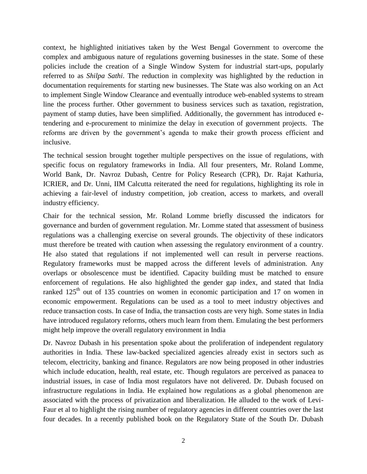context, he highlighted initiatives taken by the West Bengal Government to overcome the complex and ambiguous nature of regulations governing businesses in the state. Some of these policies include the creation of a Single Window System for industrial start-ups, popularly referred to as *Shilpa Sathi*. The reduction in complexity was highlighted by the reduction in documentation requirements for starting new businesses. The State was also working on an Act to implement Single Window Clearance and eventually introduce web-enabled systems to stream line the process further. Other government to business services such as taxation, registration, payment of stamp duties, have been simplified. Additionally, the government has introduced etendering and e-procurement to minimize the delay in execution of government projects. The reforms are driven by the government's agenda to make their growth process efficient and inclusive.

The technical session brought together multiple perspectives on the issue of regulations, with specific focus on regulatory frameworks in India. All four presenters, Mr. Roland Lomme, World Bank, Dr. Navroz Dubash, Centre for Policy Research (CPR), Dr. Rajat Kathuria, ICRIER, and Dr. Unni, IIM Calcutta reiterated the need for regulations, highlighting its role in achieving a fair-level of industry competition, job creation, access to markets, and overall industry efficiency.

Chair for the technical session, Mr. Roland Lomme briefly discussed the indicators for governance and burden of government regulation. Mr. Lomme stated that assessment of business regulations was a challenging exercise on several grounds. The objectivity of these indicators must therefore be treated with caution when assessing the regulatory environment of a country. He also stated that regulations if not implemented well can result in perverse reactions. Regulatory frameworks must be mapped across the different levels of administration. Any overlaps or obsolescence must be identified. Capacity building must be matched to ensure enforcement of regulations. He also highlighted the gender gap index, and stated that India ranked  $125<sup>th</sup>$  out of 135 countries on women in economic participation and 17 on women in economic empowerment. Regulations can be used as a tool to meet industry objectives and reduce transaction costs. In case of India, the transaction costs are very high. Some states in India have introduced regulatory reforms, others much learn from them. Emulating the best performers might help improve the overall regulatory environment in India

Dr. Navroz Dubash in his presentation spoke about the proliferation of independent regulatory authorities in India. These law-backed specialized agencies already exist in sectors such as telecom, electricity, banking and finance. Regulators are now being proposed in other industries which include education, health, real estate, etc. Though regulators are perceived as panacea to industrial issues, in case of India most regulators have not delivered. Dr. Dubash focused on infrastructure regulations in India. He explained how regulations as a global phenomenon are associated with the process of privatization and liberalization. He alluded to the work of Levi-Faur et al to highlight the rising number of regulatory agencies in different countries over the last four decades. In a recently published book on the Regulatory State of the South Dr. Dubash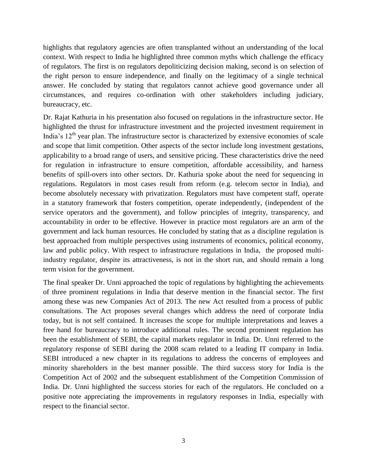highlights that regulatory agencies are often transplanted without an understanding of the local context. With respect to India he highlighted three common myths which challenge the efficacy of regulators. The first is on regulators depoliticizing decision making, second is on selection of the right person to ensure independence, and finally on the legitimacy of a single technical answer. He concluded by stating that regulators cannot achieve good governance under all circumstances, and requires co-ordination with other stakeholders including judiciary, bureaucracy, etc.

Dr. Rajat Kathuria in his presentation also focused on regulations in the infrastructure sector. He highlighted the thrust for infrastructure investment and the projected investment requirement in India's  $12<sup>th</sup>$  year plan. The infrastructure sector is characterized by extensive economies of scale and scope that limit competition. Other aspects of the sector include long investment gestations, applicability to a broad range of users, and sensitive pricing. These characteristics drive the need for regulation in infrastructure to ensure competition, affordable accessibility, and harness benefits of spill-overs into other sectors. Dr. Kathuria spoke about the need for sequencing in regulations. Regulators in most cases result from reform (e.g. telecom sector in India), and become absolutely necessary with privatization. Regulators must have competent staff, operate in a statutory framework that fosters competition, operate independently, (independent of the service operators and the government), and follow principles of integrity, transparency, and accountability in order to be effective. However in practice most regulators are an arm of the government and lack human resources. He concluded by stating that as a discipline regulation is best approached from multiple perspectives using instruments of economics, political economy, law and public policy. With respect to infrastructure regulations in India, the proposed multiindustry regulator, despite its attractiveness, is not in the short run, and should remain a long term vision for the government.

The final speaker Dr. Unni approached the topic of regulations by highlighting the achievements of three prominent regulations in India that deserve mention in the financial sector. The first among these was new Companies Act of 2013. The new Act resulted from a process of public consultations. The Act proposes several changes which address the need of corporate India today, but is not self contained. It increases the scope for multiple interpretations and leaves a free hand for bureaucracy to introduce additional rules. The second prominent regulation has been the establishment of SEBI, the capital markets regulator in India. Dr. Unni referred to the regulatory response of SEBI during the 2008 scam related to a leading IT company in India. SEBI introduced a new chapter in its regulations to address the concerns of employees and minority shareholders in the best manner possible. The third success story for India is the Competition Act of 2002 and the subsequent establishment of the Competition Commission of India. Dr. Unni highlighted the success stories for each of the regulators. He concluded on a positive note appreciating the improvements in regulatory responses in India, especially with respect to the financial sector.